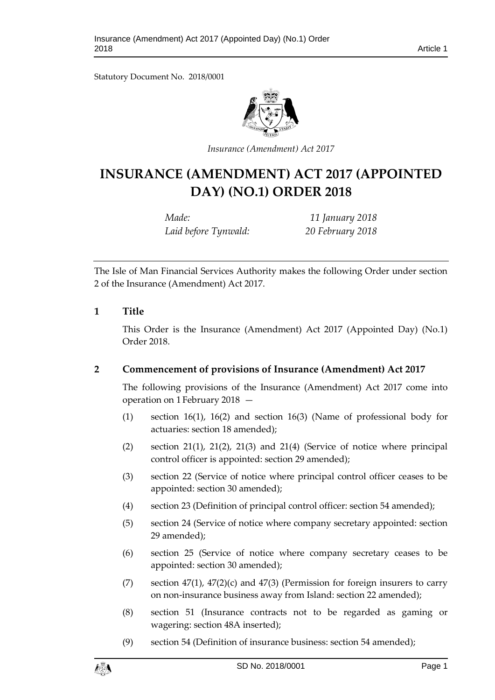Statutory Document No. 2018/0001



*Insurance (Amendment) Act 2017*

# **INSURANCE (AMENDMENT) ACT 2017 (APPOINTED DAY) (NO.1) ORDER 2018**

*Made: 11 January 2018 Laid before Tynwald: 20 February 2018*

The Isle of Man Financial Services Authority makes the following Order under section 2 of the Insurance (Amendment) Act 2017.

#### **1 Title**

This Order is the Insurance (Amendment) Act 2017 (Appointed Day) (No.1) Order 2018.

## **2 Commencement of provisions of Insurance (Amendment) Act 2017**

The following provisions of the Insurance (Amendment) Act 2017 come into operation on 1 February 2018 —

- (1) section 16(1), 16(2) and section 16(3) (Name of professional body for actuaries: section 18 amended);
- (2) section 21(1), 21(2), 21(3) and 21(4) (Service of notice where principal control officer is appointed: section 29 amended);
- (3) section 22 (Service of notice where principal control officer ceases to be appointed: section 30 amended);
- (4) section 23 (Definition of principal control officer: section 54 amended);
- (5) section 24 (Service of notice where company secretary appointed: section 29 amended);
- (6) section 25 (Service of notice where company secretary ceases to be appointed: section 30 amended);
- (7) section  $47(1)$ ,  $47(2)(c)$  and  $47(3)$  (Permission for foreign insurers to carry on non-insurance business away from Island: section 22 amended);
- (8) section 51 (Insurance contracts not to be regarded as gaming or wagering: section 48A inserted);
- (9) section 54 (Definition of insurance business: section 54 amended);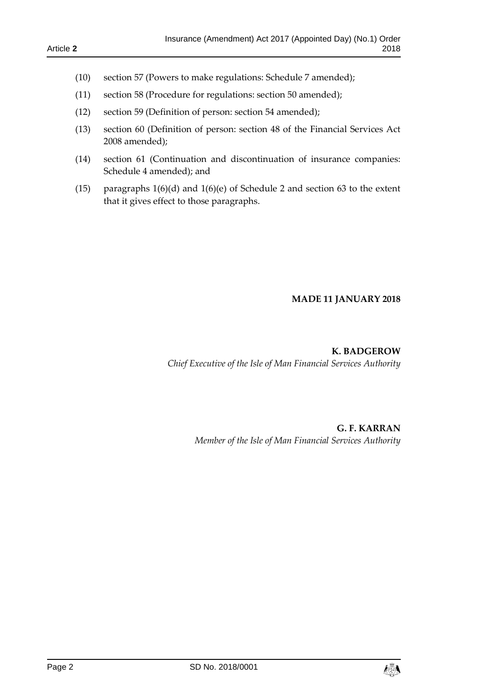- (10) section 57 (Powers to make regulations: Schedule 7 amended);
- (11) section 58 (Procedure for regulations: section 50 amended);
- (12) section 59 (Definition of person: section 54 amended);
- (13) section 60 (Definition of person: section 48 of the Financial Services Act 2008 amended);
- (14) section 61 (Continuation and discontinuation of insurance companies: Schedule 4 amended); and
- (15) paragraphs 1(6)(d) and 1(6)(e) of Schedule 2 and section 63 to the extent that it gives effect to those paragraphs.

#### **MADE 11 JANUARY 2018**

**K. BADGEROW** *Chief Executive of the Isle of Man Financial Services Authority*

> **G. F. KARRAN** *Member of the Isle of Man Financial Services Authority*